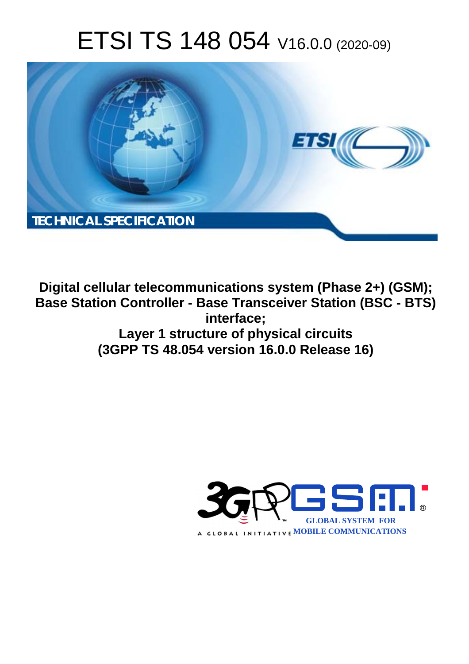# ETSI TS 148 054 V16.0.0 (2020-09)



**Digital cellular telecommunications system (Phase 2+) (GSM); Base Station Controller - Base Transceiver Station (BSC - BTS) interface; Layer 1 structure of physical circuits (3GPP TS 48.054 version 16.0.0 Release 16)** 

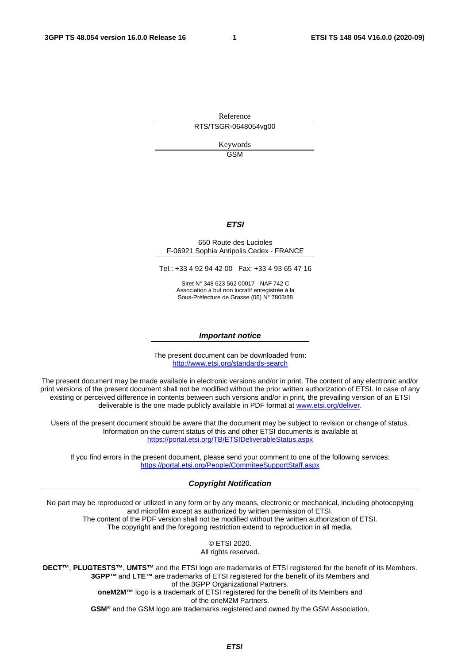Reference RTS/TSGR-0648054vg00

> Keywords GSM

#### *ETSI*

#### 650 Route des Lucioles F-06921 Sophia Antipolis Cedex - FRANCE

Tel.: +33 4 92 94 42 00 Fax: +33 4 93 65 47 16

Siret N° 348 623 562 00017 - NAF 742 C Association à but non lucratif enregistrée à la Sous-Préfecture de Grasse (06) N° 7803/88

#### *Important notice*

The present document can be downloaded from: <http://www.etsi.org/standards-search>

The present document may be made available in electronic versions and/or in print. The content of any electronic and/or print versions of the present document shall not be modified without the prior written authorization of ETSI. In case of any existing or perceived difference in contents between such versions and/or in print, the prevailing version of an ETSI deliverable is the one made publicly available in PDF format at [www.etsi.org/deliver](http://www.etsi.org/deliver).

Users of the present document should be aware that the document may be subject to revision or change of status. Information on the current status of this and other ETSI documents is available at <https://portal.etsi.org/TB/ETSIDeliverableStatus.aspx>

If you find errors in the present document, please send your comment to one of the following services: <https://portal.etsi.org/People/CommiteeSupportStaff.aspx>

#### *Copyright Notification*

No part may be reproduced or utilized in any form or by any means, electronic or mechanical, including photocopying and microfilm except as authorized by written permission of ETSI. The content of the PDF version shall not be modified without the written authorization of ETSI. The copyright and the foregoing restriction extend to reproduction in all media.

> © ETSI 2020. All rights reserved.

**DECT™**, **PLUGTESTS™**, **UMTS™** and the ETSI logo are trademarks of ETSI registered for the benefit of its Members. **3GPP™** and **LTE™** are trademarks of ETSI registered for the benefit of its Members and of the 3GPP Organizational Partners. **oneM2M™** logo is a trademark of ETSI registered for the benefit of its Members and of the oneM2M Partners. **GSM®** and the GSM logo are trademarks registered and owned by the GSM Association.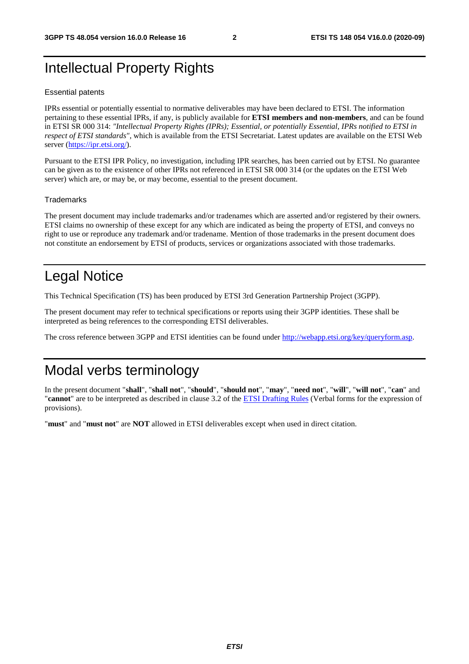### Intellectual Property Rights

#### Essential patents

IPRs essential or potentially essential to normative deliverables may have been declared to ETSI. The information pertaining to these essential IPRs, if any, is publicly available for **ETSI members and non-members**, and can be found in ETSI SR 000 314: *"Intellectual Property Rights (IPRs); Essential, or potentially Essential, IPRs notified to ETSI in respect of ETSI standards"*, which is available from the ETSI Secretariat. Latest updates are available on the ETSI Web server [\(https://ipr.etsi.org/](https://ipr.etsi.org/)).

Pursuant to the ETSI IPR Policy, no investigation, including IPR searches, has been carried out by ETSI. No guarantee can be given as to the existence of other IPRs not referenced in ETSI SR 000 314 (or the updates on the ETSI Web server) which are, or may be, or may become, essential to the present document.

#### **Trademarks**

The present document may include trademarks and/or tradenames which are asserted and/or registered by their owners. ETSI claims no ownership of these except for any which are indicated as being the property of ETSI, and conveys no right to use or reproduce any trademark and/or tradename. Mention of those trademarks in the present document does not constitute an endorsement by ETSI of products, services or organizations associated with those trademarks.

### Legal Notice

This Technical Specification (TS) has been produced by ETSI 3rd Generation Partnership Project (3GPP).

The present document may refer to technical specifications or reports using their 3GPP identities. These shall be interpreted as being references to the corresponding ETSI deliverables.

The cross reference between 3GPP and ETSI identities can be found under<http://webapp.etsi.org/key/queryform.asp>.

### Modal verbs terminology

In the present document "**shall**", "**shall not**", "**should**", "**should not**", "**may**", "**need not**", "**will**", "**will not**", "**can**" and "**cannot**" are to be interpreted as described in clause 3.2 of the [ETSI Drafting Rules](https://portal.etsi.org/Services/editHelp!/Howtostart/ETSIDraftingRules.aspx) (Verbal forms for the expression of provisions).

"**must**" and "**must not**" are **NOT** allowed in ETSI deliverables except when used in direct citation.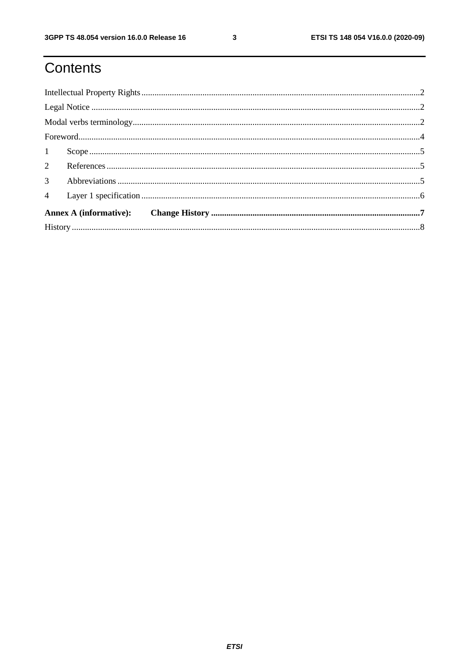## Contents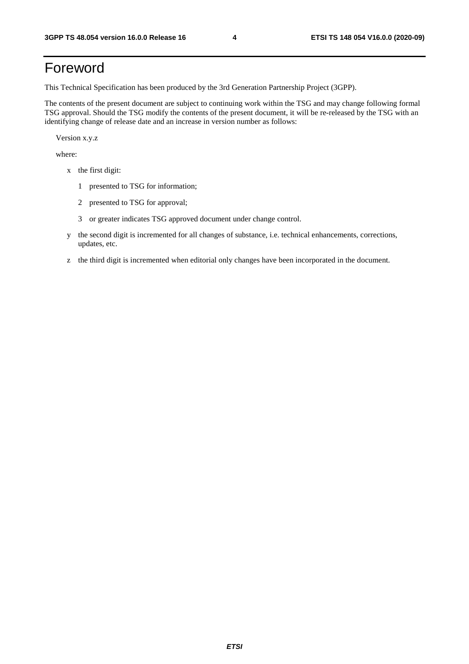### Foreword

This Technical Specification has been produced by the 3rd Generation Partnership Project (3GPP).

The contents of the present document are subject to continuing work within the TSG and may change following formal TSG approval. Should the TSG modify the contents of the present document, it will be re-released by the TSG with an identifying change of release date and an increase in version number as follows:

Version x.y.z

where:

- x the first digit:
	- 1 presented to TSG for information;
	- 2 presented to TSG for approval;
	- 3 or greater indicates TSG approved document under change control.
- y the second digit is incremented for all changes of substance, i.e. technical enhancements, corrections, updates, etc.
- z the third digit is incremented when editorial only changes have been incorporated in the document.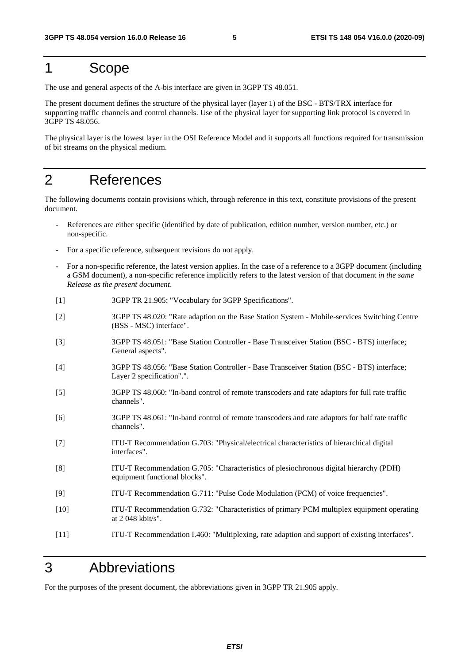#### 1 Scope

The use and general aspects of the A-bis interface are given in 3GPP TS 48.051.

The present document defines the structure of the physical layer (layer 1) of the BSC - BTS/TRX interface for supporting traffic channels and control channels. Use of the physical layer for supporting link protocol is covered in 3GPP TS 48.056.

The physical layer is the lowest layer in the OSI Reference Model and it supports all functions required for transmission of bit streams on the physical medium.

### 2 References

The following documents contain provisions which, through reference in this text, constitute provisions of the present document.

- References are either specific (identified by date of publication, edition number, version number, etc.) or non-specific.
- For a specific reference, subsequent revisions do not apply.
- For a non-specific reference, the latest version applies. In the case of a reference to a 3GPP document (including a GSM document), a non-specific reference implicitly refers to the latest version of that document *in the same Release as the present document*.
- [1] 3GPP TR 21.905: "Vocabulary for 3GPP Specifications".
- [2] 3GPP TS 48.020: "Rate adaption on the Base Station System Mobile-services Switching Centre (BSS - MSC) interface".
- [3] 3GPP TS 48.051: "Base Station Controller Base Transceiver Station (BSC BTS) interface; General aspects".
- [4] 3GPP TS 48.056: "Base Station Controller Base Transceiver Station (BSC BTS) interface; Layer 2 specification".".
- [5] 3GPP TS 48.060: "In-band control of remote transcoders and rate adaptors for full rate traffic channels".
- [6] 3GPP TS 48.061: "In-band control of remote transcoders and rate adaptors for half rate traffic channels".
- [7] ITU-T Recommendation G.703: "Physical/electrical characteristics of hierarchical digital interfaces".
- [8] ITU-T Recommendation G.705: "Characteristics of plesiochronous digital hierarchy (PDH) equipment functional blocks".
- [9] ITU-T Recommendation G.711: "Pulse Code Modulation (PCM) of voice frequencies".
- [10] ITU-T Recommendation G.732: "Characteristics of primary PCM multiplex equipment operating at 2 048 kbit/s".
- [11] ITU-T Recommendation I.460: "Multiplexing, rate adaption and support of existing interfaces".

### 3 Abbreviations

For the purposes of the present document, the abbreviations given in 3GPP TR 21.905 apply.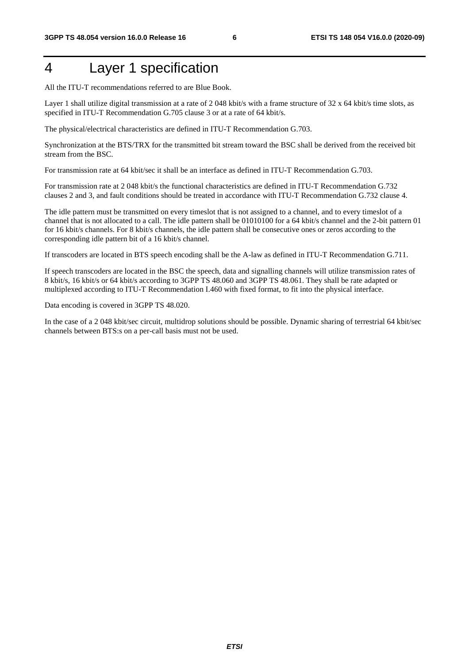### 4 Layer 1 specification

All the ITU-T recommendations referred to are Blue Book.

Layer 1 shall utilize digital transmission at a rate of 2048 kbit/s with a frame structure of 32 x 64 kbit/s time slots, as specified in ITU-T Recommendation G.705 clause 3 or at a rate of 64 kbit/s.

The physical/electrical characteristics are defined in ITU-T Recommendation G.703.

Synchronization at the BTS/TRX for the transmitted bit stream toward the BSC shall be derived from the received bit stream from the BSC.

For transmission rate at 64 kbit/sec it shall be an interface as defined in ITU-T Recommendation G.703.

For transmission rate at 2 048 kbit/s the functional characteristics are defined in ITU-T Recommendation G.732 clauses 2 and 3, and fault conditions should be treated in accordance with ITU-T Recommendation G.732 clause 4.

The idle pattern must be transmitted on every timeslot that is not assigned to a channel, and to every timeslot of a channel that is not allocated to a call. The idle pattern shall be 01010100 for a 64 kbit/s channel and the 2-bit pattern 01 for 16 kbit/s channels. For 8 kbit/s channels, the idle pattern shall be consecutive ones or zeros according to the corresponding idle pattern bit of a 16 kbit/s channel.

If transcoders are located in BTS speech encoding shall be the A-law as defined in ITU-T Recommendation G.711.

If speech transcoders are located in the BSC the speech, data and signalling channels will utilize transmission rates of 8 kbit/s, 16 kbit/s or 64 kbit/s according to 3GPP TS 48.060 and 3GPP TS 48.061. They shall be rate adapted or multiplexed according to ITU-T Recommendation I.460 with fixed format, to fit into the physical interface.

Data encoding is covered in 3GPP TS 48.020.

In the case of a 2 048 kbit/sec circuit, multidrop solutions should be possible. Dynamic sharing of terrestrial 64 kbit/sec channels between BTS:s on a per-call basis must not be used.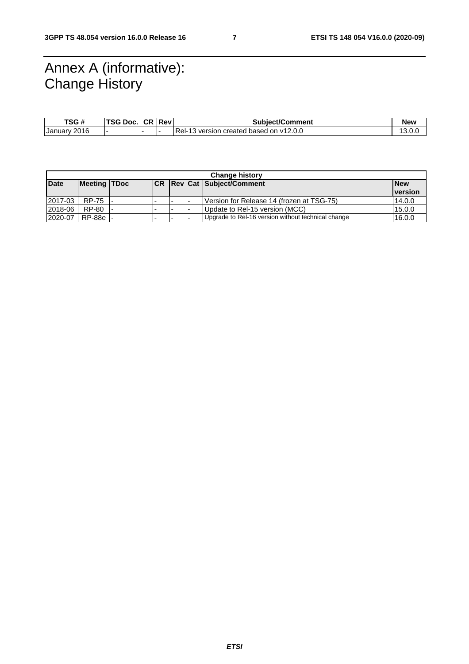### Annex A (informative): Change History

| TSG #                  | <b>TSG Doc.</b> | l CR  Rev | <b>Subiect/Comment</b>                       | <b>New</b>    |
|------------------------|-----------------|-----------|----------------------------------------------|---------------|
| 2016<br><b>January</b> |                 |           | Rel-<br>-13 version created based on v12.0.0 | 10<br>1 J.V.V |

| <b>Change history</b> |                     |  |            |  |  |                                                    |                |
|-----------------------|---------------------|--|------------|--|--|----------------------------------------------------|----------------|
| <b>Date</b>           | <b>Meeting TDoc</b> |  | <b>ICR</b> |  |  | <b>Rev Cat Subject/Comment</b>                     | <b>New</b>     |
|                       |                     |  |            |  |  |                                                    | <b>version</b> |
| 2017-03               | RP-75               |  | -          |  |  | Version for Release 14 (frozen at TSG-75)          | 14.0.0         |
| 2018-06               | RP-80               |  |            |  |  | Update to Rel-15 version (MCC)                     | 15.0.0         |
| 2020-07               | RP-88e              |  | -          |  |  | Upgrade to Rel-16 version without technical change | 16.0.0         |